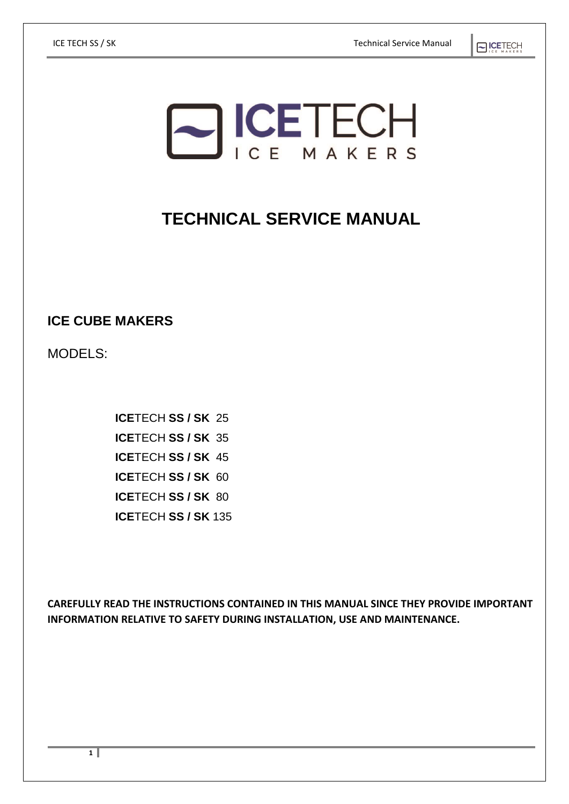# **SICETECH**

# **TECHNICAL SERVICE MANUAL**

**ICE CUBE MAKERS**

MODELS:

**ICE**TECH **SS / SK** 25 **ICE**TECH **SS / SK** 35 **ICE**TECH **SS / SK** 45 **ICE**TECH **SS / SK** 60 **ICE**TECH **SS / SK** 80 **ICE**TECH **SS / SK** 135

**CAREFULLY READ THE INSTRUCTIONS CONTAINED IN THIS MANUAL SINCE THEY PROVIDE IMPORTANT INFORMATION RELATIVE TO SAFETY DURING INSTALLATION, USE AND MAINTENANCE.**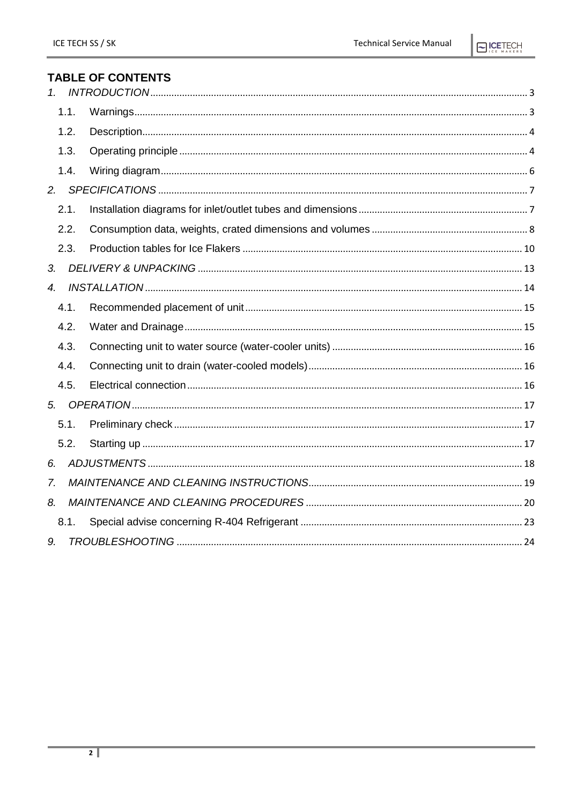### **TABLE OF CONTENTS**

| 1 <sup>1</sup>   |      |  |
|------------------|------|--|
|                  | 1.1. |  |
|                  | 1.2. |  |
|                  | 1.3. |  |
|                  | 1.4. |  |
| 2.               |      |  |
|                  | 2.1. |  |
|                  | 2.2. |  |
|                  | 2.3. |  |
| 3 <sub>l</sub>   |      |  |
| $\overline{4}$ . |      |  |
|                  | 4.1. |  |
|                  | 4.2. |  |
|                  | 4.3. |  |
|                  | 4.4. |  |
|                  | 4.5. |  |
| 5.               |      |  |
|                  | 5.1. |  |
|                  | 5.2. |  |
| 6.               |      |  |
| 7.               |      |  |
| 8.               |      |  |
|                  | 8.1. |  |
| 9.               |      |  |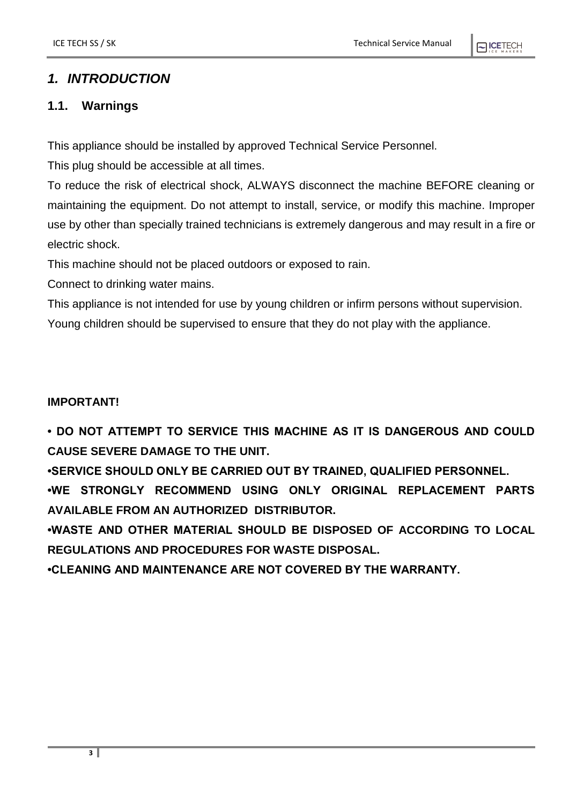### <span id="page-2-0"></span>*1. INTRODUCTION*

## <span id="page-2-1"></span>**1.1. Warnings**

This appliance should be installed by approved Technical Service Personnel.

This plug should be accessible at all times.

To reduce the risk of electrical shock, ALWAYS disconnect the machine BEFORE cleaning or maintaining the equipment. Do not attempt to install, service, or modify this machine. Improper use by other than specially trained technicians is extremely dangerous and may result in a fire or electric shock.

This machine should not be placed outdoors or exposed to rain.

Connect to drinking water mains.

This appliance is not intended for use by young children or infirm persons without supervision.

Young children should be supervised to ensure that they do not play with the appliance.

#### **IMPORTANT!**

**• DO NOT ATTEMPT TO SERVICE THIS MACHINE AS IT IS DANGEROUS AND COULD CAUSE SEVERE DAMAGE TO THE UNIT.** 

**•SERVICE SHOULD ONLY BE CARRIED OUT BY TRAINED, QUALIFIED PERSONNEL. •WE STRONGLY RECOMMEND USING ONLY ORIGINAL REPLACEMENT PARTS AVAILABLE FROM AN AUTHORIZED DISTRIBUTOR.**

**•WASTE AND OTHER MATERIAL SHOULD BE DISPOSED OF ACCORDING TO LOCAL REGULATIONS AND PROCEDURES FOR WASTE DISPOSAL.**

**•CLEANING AND MAINTENANCE ARE NOT COVERED BY THE WARRANTY.**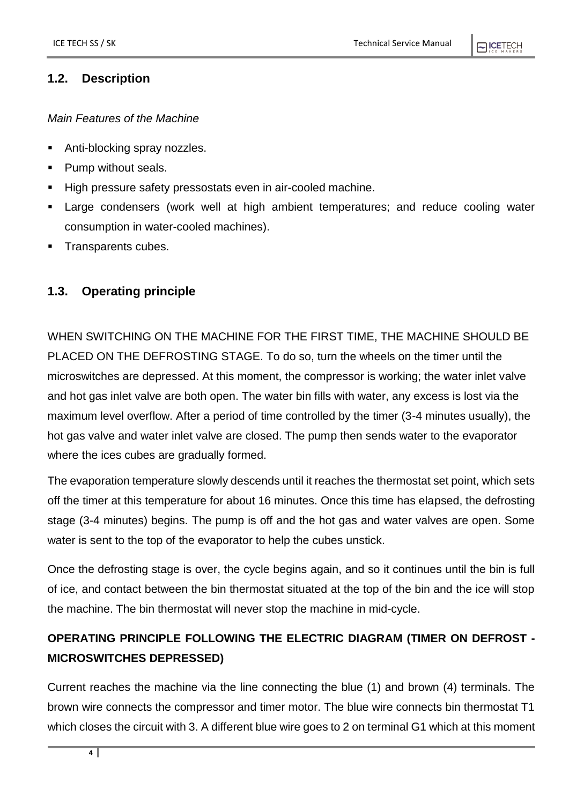#### **NICETECH**

#### <span id="page-3-0"></span>**1.2. Description**

#### *Main Features of the Machine*

- Anti-blocking spray nozzles.
- Pump without seals.
- High pressure safety pressostats even in air-cooled machine.
- **EXT** Large condensers (work well at high ambient temperatures; and reduce cooling water consumption in water-cooled machines).
- Transparents cubes.

#### <span id="page-3-1"></span>**1.3. Operating principle**

WHEN SWITCHING ON THE MACHINE FOR THE FIRST TIME, THE MACHINE SHOULD BE PLACED ON THE DEFROSTING STAGE. To do so, turn the wheels on the timer until the microswitches are depressed. At this moment, the compressor is working; the water inlet valve and hot gas inlet valve are both open. The water bin fills with water, any excess is lost via the maximum level overflow. After a period of time controlled by the timer (3-4 minutes usually), the hot gas valve and water inlet valve are closed. The pump then sends water to the evaporator where the ices cubes are gradually formed.

The evaporation temperature slowly descends until it reaches the thermostat set point, which sets off the timer at this temperature for about 16 minutes. Once this time has elapsed, the defrosting stage (3-4 minutes) begins. The pump is off and the hot gas and water valves are open. Some water is sent to the top of the evaporator to help the cubes unstick.

Once the defrosting stage is over, the cycle begins again, and so it continues until the bin is full of ice, and contact between the bin thermostat situated at the top of the bin and the ice will stop the machine. The bin thermostat will never stop the machine in mid-cycle.

# **OPERATING PRINCIPLE FOLLOWING THE ELECTRIC DIAGRAM (TIMER ON DEFROST - MICROSWITCHES DEPRESSED)**

Current reaches the machine via the line connecting the blue (1) and brown (4) terminals. The brown wire connects the compressor and timer motor. The blue wire connects bin thermostat T1 which closes the circuit with 3. A different blue wire goes to 2 on terminal G1 which at this moment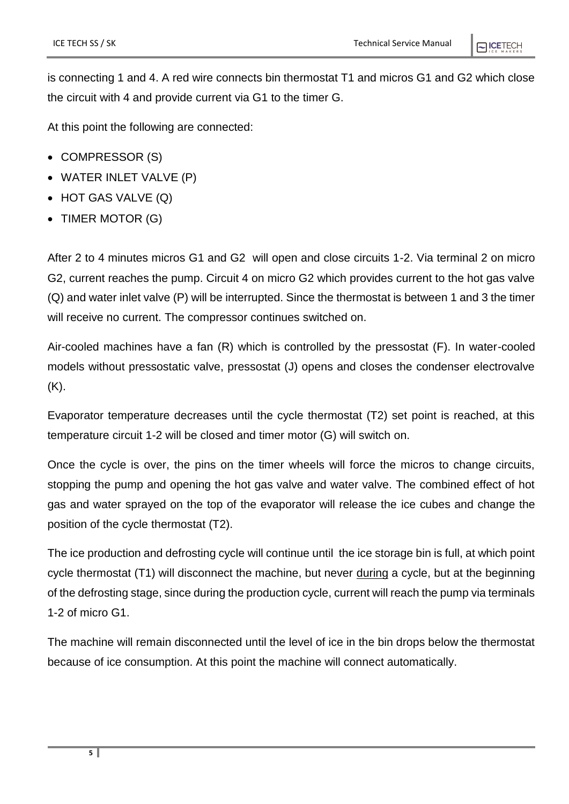is connecting 1 and 4. A red wire connects bin thermostat T1 and micros G1 and G2 which close the circuit with 4 and provide current via G1 to the timer G.

At this point the following are connected:

- COMPRESSOR (S)
- WATER INLET VALVE (P)
- HOT GAS VALVE (Q)
- TIMER MOTOR (G)

After 2 to 4 minutes micros G1 and G2 will open and close circuits 1-2. Via terminal 2 on micro G2, current reaches the pump. Circuit 4 on micro G2 which provides current to the hot gas valve (Q) and water inlet valve (P) will be interrupted. Since the thermostat is between 1 and 3 the timer will receive no current. The compressor continues switched on.

Air-cooled machines have a fan (R) which is controlled by the pressostat (F). In water-cooled models without pressostatic valve, pressostat (J) opens and closes the condenser electrovalve (K).

Evaporator temperature decreases until the cycle thermostat (T2) set point is reached, at this temperature circuit 1-2 will be closed and timer motor (G) will switch on.

Once the cycle is over, the pins on the timer wheels will force the micros to change circuits, stopping the pump and opening the hot gas valve and water valve. The combined effect of hot gas and water sprayed on the top of the evaporator will release the ice cubes and change the position of the cycle thermostat (T2).

The ice production and defrosting cycle will continue until the ice storage bin is full, at which point cycle thermostat (T1) will disconnect the machine, but never during a cycle, but at the beginning of the defrosting stage, since during the production cycle, current will reach the pump via terminals 1-2 of micro G1.

The machine will remain disconnected until the level of ice in the bin drops below the thermostat because of ice consumption. At this point the machine will connect automatically.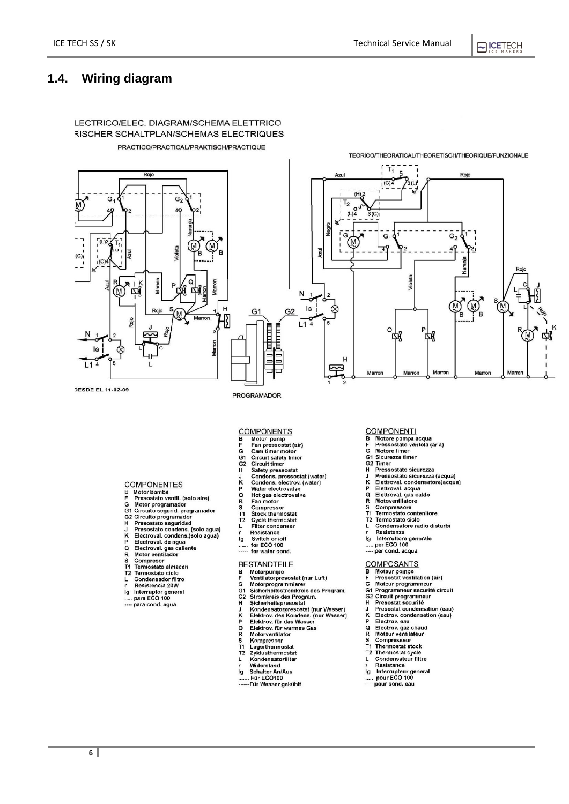OCETECH

#### <span id="page-5-0"></span>**1.4. Wiring diagram**



#### **COMPONENTS**

- 
- **THE STREAM**<br>
Motor pump<br>
Fan pressostat (air)<br>
Cam timer motor<br>
Circuit safety timer  $\begin{array}{c}\n\blacksquare \\
\blacksquare\n\blacksquare\n\end{array}$
- 
- 
- 
- 
- Safety pressostat<br>Condens. pressostat (water)<br>Condens. electrov. (water)<br>Water electrovalve
- 
- 
- **Tradel electrovalve**<br>Hot gas electrovalve<br>Fan motor<br>Compressor
- 

**COMPONENTES** 

コクロロド

.<br>לד

L

 $\overline{q}$ 

COMPONENTES<br>
B Motor bomba<br>
F Presostato ventil. (solo aire)<br>
G Motor programador<br>
G2 Circuito segurid. programador<br>
H Presostato segurida<br>
H Presostato condens. (solo agua)<br>
K Electroval. condens. (solo agua)<br>
P Electrova

Electroval. de agua<br>Electroval. gas caliente<br>Motor ventilador<br>Compresor<br>Termostato almacen

Termostato amace<br>Termostato ciclo<br>Condensador filtro<br>Resistencia 20W

Interruptor general<br>para ECO 100

para cond. agua

- 
- Stock thermostat<br>Cycle thermostat<br>Filter condenser
- 
- $L_{r}$ Resistance<br>Switch on/off<br>for ECO 100
- 
- $\dddot{...}$ for water cond.

- 
- **BESTANDTEILE**<br>B Motorpumpe<br>F Ventilatorpresos
- 
- wentilatorpresostat (nur Luft)<br>Motorprogrammierer<br>Sicherheitsstromkreis des Program.
- 
- 
- Sicherheitsstromkreis des Program.<br>Stromkreis des Program.<br>Sicherheitspresostat<br>Kondensatorpresostat (nur Wasser)<br>Elektrov. des Kondens. (nur Wasser)<br>Elektrov. für das Wasser<br>Elektrov. für varmes Gas<br>Motorventilator
- 
- 
- 
- 
- **GG12HJKPQRSTTT2** Motorventrator<br>Kompressor<br>Lagerthermostat<br>Zyklusthermostat
- Zyklustremiostal<br>Kondensatorfilter<br>Widerstand L
- 
- Schalter An/Aus İg
- Scharter Amylus<br>.. Für ECO100<br>--Für Wasser gekühlt

#### **COMPONENTI**  $\bar{R}$

- Motore pompa acqua<br>Pressostato ventola (aria)<br>Motore timer
- Ġ
- G1 Sicurezza timer
- 
- 
- G1 Sicurezza timer<br>G2 Timer<br>H Pressostato sicurezza<br>J Pressostato sicurezza<br>K Elettroval. condensatore(acqua)<br>P Elettroval. acqua
- 
- ā
- $\overline{R}$
- Elettroval. aga caldo<br>Elettroval. gas caldo<br>Motoventilatore<br>Compressore<br>Termostato contenitore T1
- Termostato contenitore<br>Termostato ciclo<br>Condensatore radio disturbi ..<br>T2
- L Resistenza
- 
- lg<br>
Interruttore generale<br>
..... per EGO 100

#### per cond. acqua

- 
- COMPOSANTS<br>B Moteur pompe<br>F Presostat ventila
	-
- COMPOSANTS<br>
B Moteur pompe<br>
F Presostat ventilation (air)<br>
G Moteur programmeur<br>
G2 Circuit programmeur<br>
H Presostat scoutier<br>
Presostat condensation (aau)<br>
Presostat condensation (aau)
- 
- 
- Presosial securitie<br>Presostat condensation (eau)<br>Electrov. condensation (eau)
- 
- **HOTK-I** Electrov. condensat<br>Electrov. eau<br>Moteur ventilateur<br>Moteur ventilateur<br>Compresseur<br>Thermostat stock
- $\frac{S}{T1}$
- 
- 
- 
- 11 Internostat stock<br>
T2 Thermostat cycle<br>
L Condensateur filtre<br>
r Resistance<br>
Ig Interrupteur general<br>
..... pour ECO 100
- pour cond. eau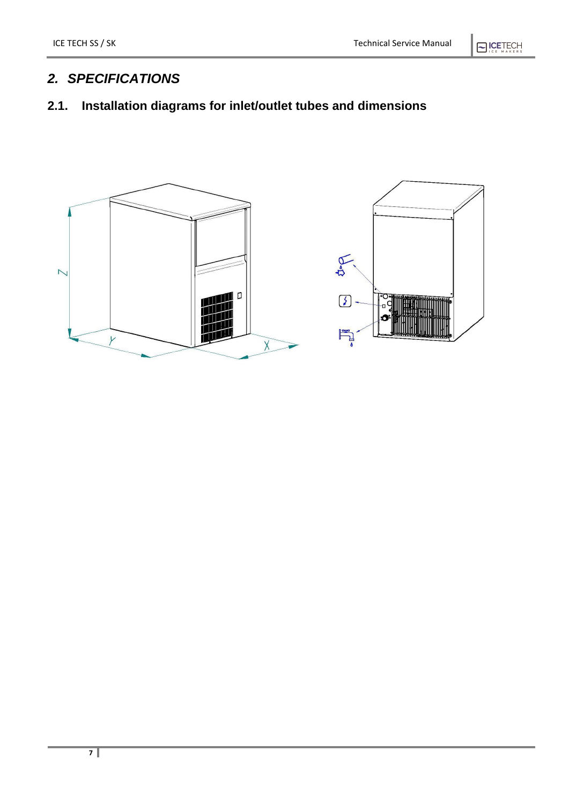# $\bigcirc$  ICETECH

# <span id="page-6-0"></span>*2. SPECIFICATIONS*

# <span id="page-6-1"></span>**2.1. Installation diagrams for inlet/outlet tubes and dimensions**

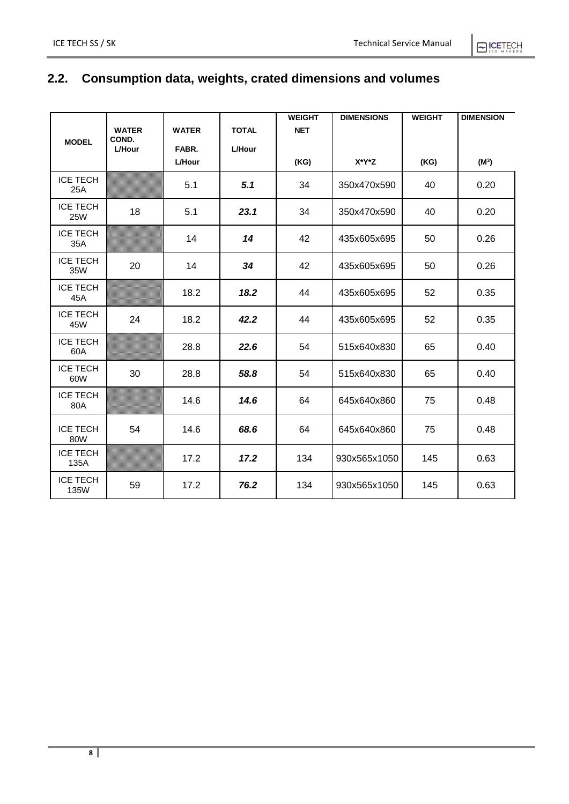# **ELICETECH**

# <span id="page-7-0"></span>**2.2. Consumption data, weights, crated dimensions and volumes**

|                               |                       |               |               | <b>WEIGHT</b> | <b>DIMENSIONS</b> | <b>WEIGHT</b> | <b>DIMENSION</b> |
|-------------------------------|-----------------------|---------------|---------------|---------------|-------------------|---------------|------------------|
|                               | <b>WATER</b><br>COND. | <b>WATER</b>  | <b>TOTAL</b>  | <b>NET</b>    |                   |               |                  |
| <b>MODEL</b>                  | <b>L/Hour</b>         | FABR.         | <b>L/Hour</b> |               |                   |               |                  |
|                               |                       | <b>L/Hour</b> |               | (KG)          | X*Y*Z             | (KG)          | $(M^3)$          |
| <b>ICE TECH</b><br>25A        |                       | 5.1           | 5.1           | 34            | 350x470x590       | 40            | 0.20             |
| <b>ICE TECH</b><br><b>25W</b> | 18                    | 5.1           | 23.1          | 34            | 350x470x590       | 40            | 0.20             |
| <b>ICE TECH</b><br>35A        |                       | 14            | 14            | 42            | 435x605x695       | 50            | 0.26             |
| <b>ICE TECH</b><br>35W        | 20                    | 14            | 34            | 42            | 435x605x695       | 50            | 0.26             |
| <b>ICE TECH</b><br>45A        |                       | 18.2          | 18.2          | 44            | 435x605x695       | 52            | 0.35             |
| <b>ICE TECH</b><br>45W        | 24                    | 18.2          | 42.2          | 44            | 435x605x695       | 52            | 0.35             |
| <b>ICE TECH</b><br>60A        |                       | 28.8          | 22.6          | 54            | 515x640x830       | 65            | 0.40             |
| <b>ICE TECH</b><br>60W        | 30                    | 28.8          | 58.8          | 54            | 515x640x830       | 65            | 0.40             |
| <b>ICE TECH</b><br>80A        |                       | 14.6          | 14.6          | 64            | 645x640x860       | 75            | 0.48             |
| <b>ICE TECH</b><br>80W        | 54                    | 14.6          | 68.6          | 64            | 645x640x860       | 75            | 0.48             |
| <b>ICE TECH</b><br>135A       |                       | 17.2          | 17.2          | 134           | 930x565x1050      | 145           | 0.63             |
| <b>ICE TECH</b><br>135W       | 59                    | 17.2          | 76.2          | 134           | 930x565x1050      | 145           | 0.63             |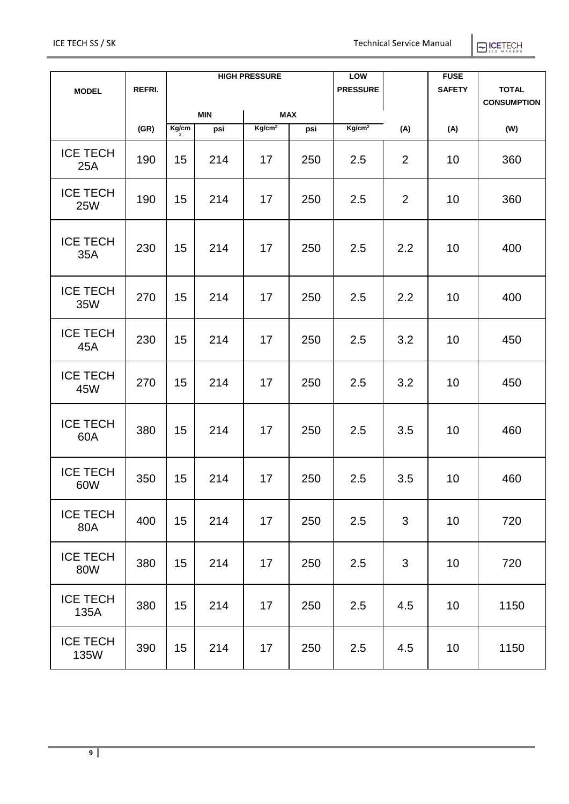| ICE I | H G<br>н |
|-------|----------|
| C.E.  | MAKERS   |

|                               |        | <b>HIGH PRESSURE</b> |                   |                    |                 | LOW                |                    | <b>FUSE</b>  |      |
|-------------------------------|--------|----------------------|-------------------|--------------------|-----------------|--------------------|--------------------|--------------|------|
| <b>MODEL</b>                  | REFRI. |                      |                   |                    | <b>PRESSURE</b> |                    | <b>SAFETY</b>      | <b>TOTAL</b> |      |
|                               |        | <b>MAX</b>           |                   |                    |                 |                    | <b>CONSUMPTION</b> |              |      |
|                               | (GR)   | Kg/cm                | <b>MIN</b><br>psi | Kg/cm <sup>2</sup> | psi             | Kg/cm <sup>2</sup> | (A)                | (A)          | (W)  |
|                               |        | $\overline{2}$       |                   |                    |                 |                    |                    |              |      |
| <b>ICE TECH</b><br>25A        | 190    | 15                   | 214               | 17                 | 250             | 2.5                | 2                  | 10           | 360  |
| <b>ICE TECH</b><br><b>25W</b> | 190    | 15                   | 214               | 17                 | 250             | 2.5                | $\overline{2}$     | 10           | 360  |
| <b>ICE TECH</b><br>35A        | 230    | 15                   | 214               | 17                 | 250             | 2.5                | 2.2                | 10           | 400  |
| <b>ICE TECH</b><br>35W        | 270    | 15                   | 214               | 17                 | 250             | 2.5                | 2.2                | 10           | 400  |
| <b>ICE TECH</b><br>45A        | 230    | 15                   | 214               | 17                 | 250             | 2.5                | 3.2                | 10           | 450  |
| <b>ICE TECH</b><br>45W        | 270    | 15                   | 214               | 17                 | 250             | 2.5                | 3.2                | 10           | 450  |
| <b>ICE TECH</b><br>60A        | 380    | 15                   | 214               | 17                 | 250             | 2.5                | 3.5                | 10           | 460  |
| <b>ICE TECH</b><br>60W        | 350    | 15                   | 214               | 17                 | 250             | 2.5                | 3.5                | 10           | 460  |
| <b>ICE TECH</b><br>80A        | 400    | 15                   | 214               | 17                 | 250             | 2.5                | 3                  | 10           | 720  |
| <b>ICE TECH</b><br>80W        | 380    | 15                   | 214               | 17                 | 250             | 2.5                | 3                  | 10           | 720  |
| <b>ICE TECH</b><br>135A       | 380    | 15                   | 214               | 17                 | 250             | 2.5                | 4.5                | 10           | 1150 |
| <b>ICE TECH</b><br>135W       | 390    | 15                   | 214               | 17                 | 250             | 2.5                | 4.5                | 10           | 1150 |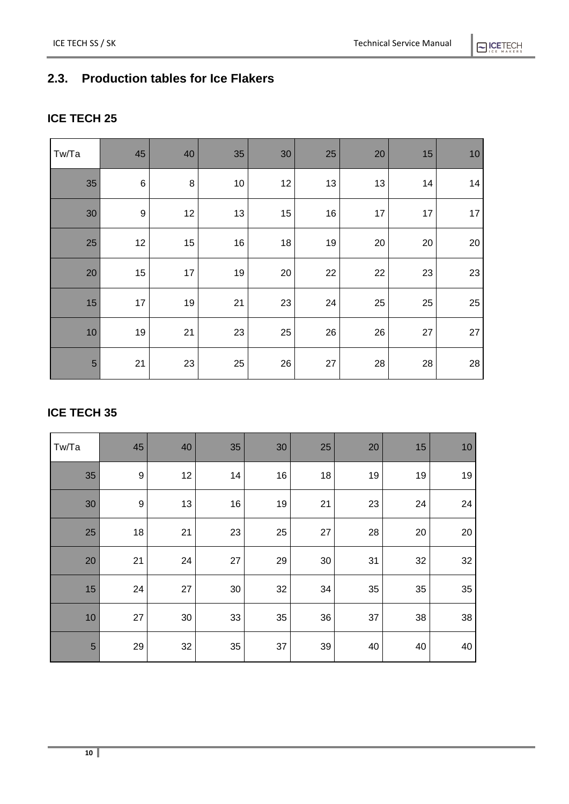# <span id="page-9-0"></span>**2.3. Production tables for Ice Flakers**

#### **ICE TECH 25**

| Tw/Ta          | 45    | 40     | 35 | 30 | 25     | 20 | 15 | 10 |
|----------------|-------|--------|----|----|--------|----|----|----|
| 35             | $\,6$ | $\, 8$ | 10 | 12 | 13     | 13 | 14 | 14 |
| 30             | 9     | 12     | 13 | 15 | $16\,$ | 17 | 17 | 17 |
| 25             | 12    | 15     | 16 | 18 | 19     | 20 | 20 | 20 |
| 20             | 15    | 17     | 19 | 20 | 22     | 22 | 23 | 23 |
| 15             | 17    | 19     | 21 | 23 | 24     | 25 | 25 | 25 |
| 10             | 19    | 21     | 23 | 25 | 26     | 26 | 27 | 27 |
| $\overline{5}$ | 21    | 23     | 25 | 26 | $27\,$ | 28 | 28 | 28 |

#### **ICE TECH 35**

| Tw/Ta | 45               | 40     | 35     | 30 | 25 | 20 | 15 | 10 |
|-------|------------------|--------|--------|----|----|----|----|----|
| 35    | $\boldsymbol{9}$ | 12     | 14     | 16 | 18 | 19 | 19 | 19 |
| 30    | $\boldsymbol{9}$ | 13     | 16     | 19 | 21 | 23 | 24 | 24 |
| 25    | 18               | 21     | 23     | 25 | 27 | 28 | 20 | 20 |
| 20    | 21               | 24     | 27     | 29 | 30 | 31 | 32 | 32 |
| 15    | 24               | $27\,$ | $30\,$ | 32 | 34 | 35 | 35 | 35 |
| 10    | 27               | $30\,$ | 33     | 35 | 36 | 37 | 38 | 38 |
| 5     | 29               | 32     | 35     | 37 | 39 | 40 | 40 | 40 |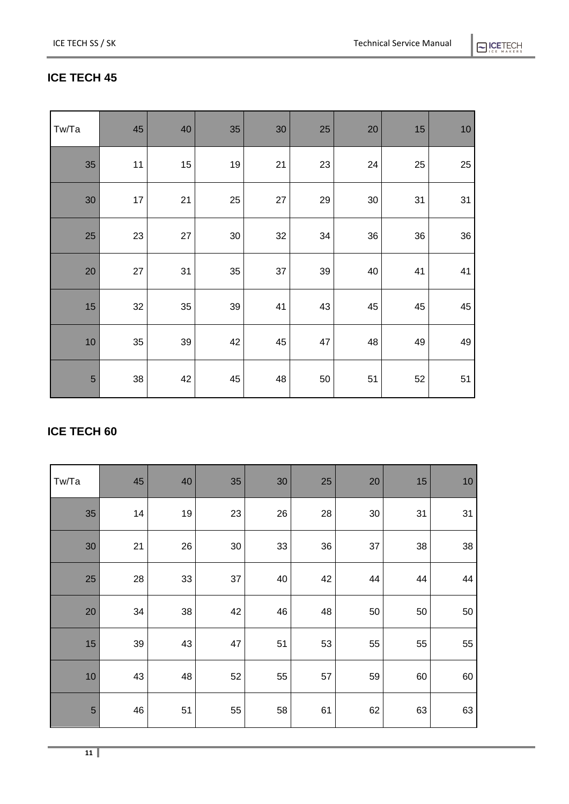# $\bigcap$  ICETECH

# **ICE TECH 45**

| Tw/Ta          | 45 | 40 | 35     | 30 | 25 | $20\,$ | 15 | $10$ |
|----------------|----|----|--------|----|----|--------|----|------|
| 35             | 11 | 15 | 19     | 21 | 23 | 24     | 25 | 25   |
| 30             | 17 | 21 | 25     | 27 | 29 | 30     | 31 | 31   |
| 25             | 23 | 27 | $30\,$ | 32 | 34 | 36     | 36 | 36   |
| 20             | 27 | 31 | 35     | 37 | 39 | 40     | 41 | 41   |
| 15             | 32 | 35 | 39     | 41 | 43 | 45     | 45 | 45   |
| 10             | 35 | 39 | 42     | 45 | 47 | 48     | 49 | 49   |
| $\overline{5}$ | 38 | 42 | 45     | 48 | 50 | 51     | 52 | 51   |

## **ICE TECH 60**

| Tw/Ta          | 45 | 40 | 35     | 30 | 25 | 20     | 15 | 10 |
|----------------|----|----|--------|----|----|--------|----|----|
| 35             | 14 | 19 | 23     | 26 | 28 | $30\,$ | 31 | 31 |
| $30\,$         | 21 | 26 | $30\,$ | 33 | 36 | 37     | 38 | 38 |
| 25             | 28 | 33 | 37     | 40 | 42 | 44     | 44 | 44 |
| 20             | 34 | 38 | 42     | 46 | 48 | 50     | 50 | 50 |
| 15             | 39 | 43 | 47     | 51 | 53 | 55     | 55 | 55 |
| 10             | 43 | 48 | 52     | 55 | 57 | 59     | 60 | 60 |
| $\overline{5}$ | 46 | 51 | 55     | 58 | 61 | 62     | 63 | 63 |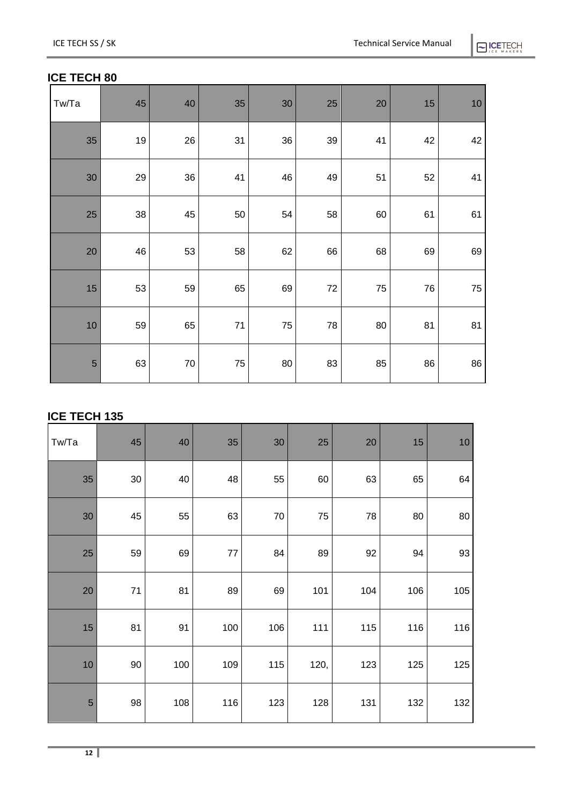# **ELCETECH**

#### **ICE TECH 80**

| Tw/Ta | 45   | 40     | 35   | $30\,$ | 25 | 20 | 15 | 10 |
|-------|------|--------|------|--------|----|----|----|----|
| 35    | $19$ | 26     | 31   | 36     | 39 | 41 | 42 | 42 |
| 30    | 29   | 36     | 41   | 46     | 49 | 51 | 52 | 41 |
| 25    | 38   | 45     | 50   | 54     | 58 | 60 | 61 | 61 |
| 20    | 46   | 53     | 58   | 62     | 66 | 68 | 69 | 69 |
| 15    | 53   | 59     | 65   | 69     | 72 | 75 | 76 | 75 |
| 10    | 59   | 65     | $71$ | 75     | 78 | 80 | 81 | 81 |
| 5     | 63   | $70\,$ | 75   | 80     | 83 | 85 | 86 | 86 |

#### **ICE TECH 135**

| Tw/Ta          | 45     | 40  | 35      | 30     | 25   | 20  | 15  | 10  |
|----------------|--------|-----|---------|--------|------|-----|-----|-----|
| 35             | $30\,$ | 40  | 48      | 55     | 60   | 63  | 65  | 64  |
| 30             | 45     | 55  | 63      | $70\,$ | 75   | 78  | 80  | 80  |
| 25             | 59     | 69  | $77 \,$ | 84     | 89   | 92  | 94  | 93  |
| 20             | $71$   | 81  | 89      | 69     | 101  | 104 | 106 | 105 |
| 15             | 81     | 91  | 100     | 106    | 111  | 115 | 116 | 116 |
| 10             | 90     | 100 | 109     | 115    | 120, | 123 | 125 | 125 |
| $\overline{5}$ | 98     | 108 | 116     | 123    | 128  | 131 | 132 | 132 |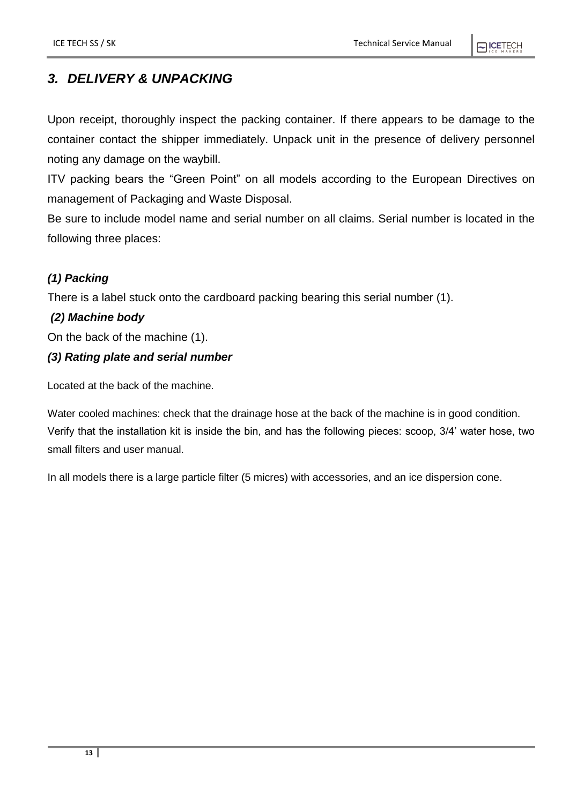# <span id="page-12-0"></span>*3. DELIVERY & UNPACKING*

Upon receipt, thoroughly inspect the packing container. If there appears to be damage to the container contact the shipper immediately. Unpack unit in the presence of delivery personnel noting any damage on the waybill.

ITV packing bears the "Green Point" on all models according to the European Directives on management of Packaging and Waste Disposal.

Be sure to include model name and serial number on all claims. Serial number is located in the following three places:

#### *(1) Packing*

There is a label stuck onto the cardboard packing bearing this serial number (1).

#### *(2) Machine body*

On the back of the machine (1).

#### *(3) Rating plate and serial number*

Located at the back of the machine.

Water cooled machines: check that the drainage hose at the back of the machine is in good condition. Verify that the installation kit is inside the bin, and has the following pieces: scoop, 3/4' water hose, two small filters and user manual.

In all models there is a large particle filter (5 micres) with accessories, and an ice dispersion cone.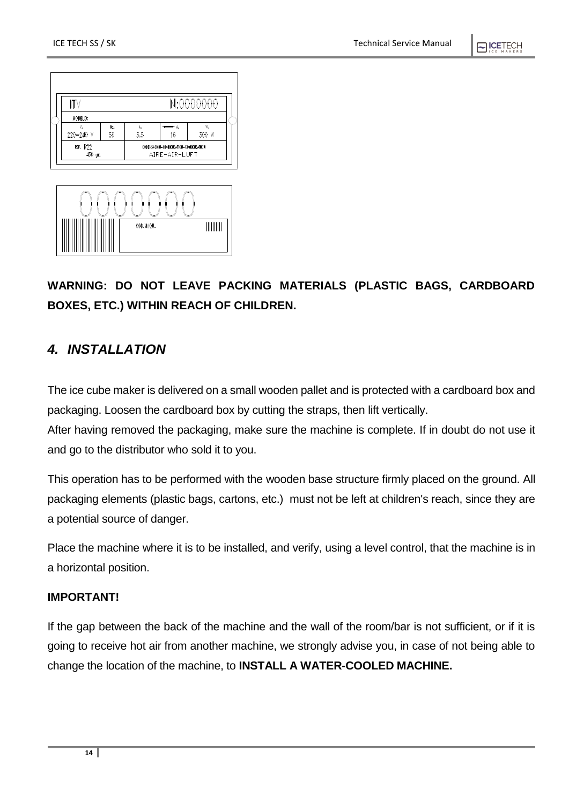

# **WARNING: DO NOT LEAVE PACKING MATERIALS (PLASTIC BAGS, CARDBOARD BOXES, ETC.) WITHIN REACH OF CHILDREN.**

# <span id="page-13-0"></span>*4. INSTALLATION*

The ice cube maker is delivered on a small wooden pallet and is protected with a cardboard box and packaging. Loosen the cardboard box by cutting the straps, then lift vertically.

After having removed the packaging, make sure the machine is complete. If in doubt do not use it and go to the distributor who sold it to you.

This operation has to be performed with the wooden base structure firmly placed on the ground. All packaging elements (plastic bags, cartons, etc.) must not be left at children's reach, since they are a potential source of danger.

Place the machine where it is to be installed, and verify, using a level control, that the machine is in a horizontal position.

#### **IMPORTANT!**

If the gap between the back of the machine and the wall of the room/bar is not sufficient, or if it is going to receive hot air from another machine, we strongly advise you, in case of not being able to change the location of the machine, to **INSTALL A WATER-COOLED MACHINE.**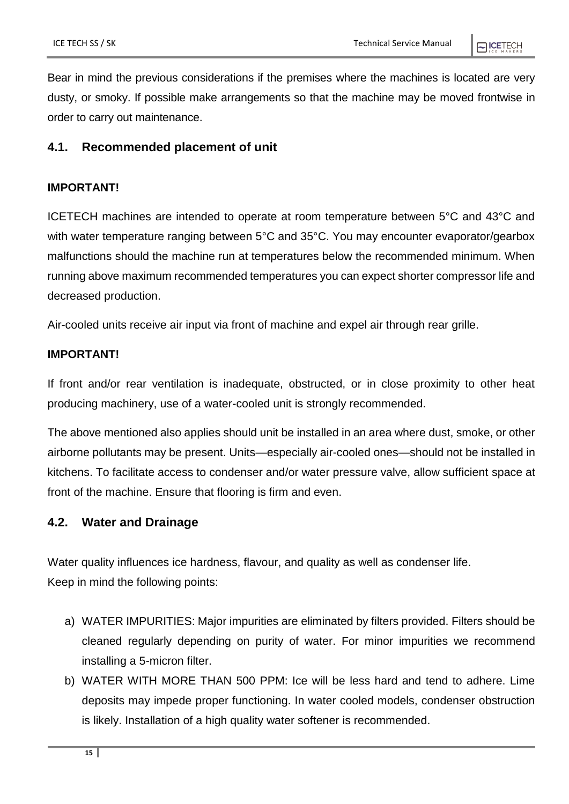Bear in mind the previous considerations if the premises where the machines is located are very dusty, or smoky. If possible make arrangements so that the machine may be moved frontwise in order to carry out maintenance.

#### <span id="page-14-0"></span>**4.1. Recommended placement of unit**

#### **IMPORTANT!**

ICETECH machines are intended to operate at room temperature between 5°C and 43°C and with water temperature ranging between 5°C and 35°C. You may encounter evaporator/gearbox malfunctions should the machine run at temperatures below the recommended minimum. When running above maximum recommended temperatures you can expect shorter compressor life and decreased production.

Air-cooled units receive air input via front of machine and expel air through rear grille.

#### **IMPORTANT!**

If front and/or rear ventilation is inadequate, obstructed, or in close proximity to other heat producing machinery, use of a water-cooled unit is strongly recommended.

The above mentioned also applies should unit be installed in an area where dust, smoke, or other airborne pollutants may be present. Units—especially air-cooled ones—should not be installed in kitchens. To facilitate access to condenser and/or water pressure valve, allow sufficient space at front of the machine. Ensure that flooring is firm and even.

#### <span id="page-14-1"></span>**4.2. Water and Drainage**

Water quality influences ice hardness, flavour, and quality as well as condenser life. Keep in mind the following points:

- a) WATER IMPURITIES: Major impurities are eliminated by filters provided. Filters should be cleaned regularly depending on purity of water. For minor impurities we recommend installing a 5-micron filter.
- b) WATER WITH MORE THAN 500 PPM: Ice will be less hard and tend to adhere. Lime deposits may impede proper functioning. In water cooled models, condenser obstruction is likely. Installation of a high quality water softener is recommended.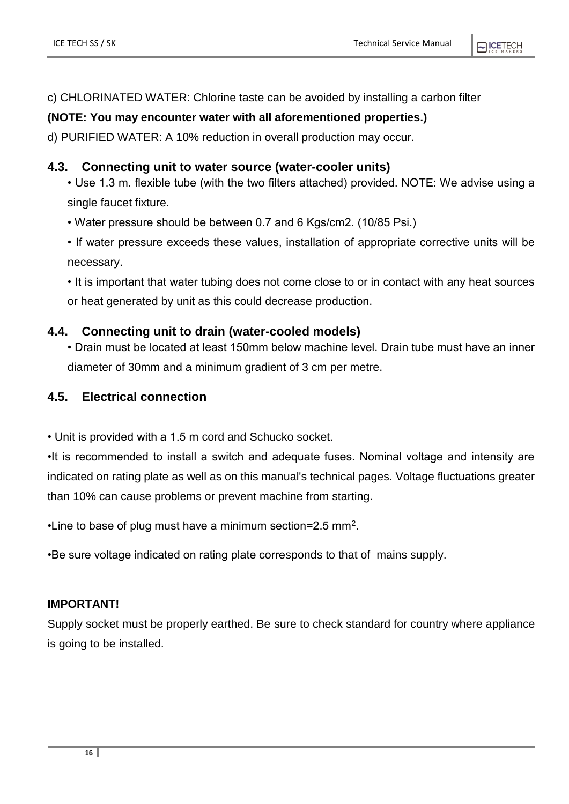c) CHLORINATED WATER: Chlorine taste can be avoided by installing a carbon filter

#### **(NOTE: You may encounter water with all aforementioned properties.)**

d) PURIFIED WATER: A 10% reduction in overall production may occur.

#### <span id="page-15-0"></span>**4.3. Connecting unit to water source (water-cooler units)**

- Use 1.3 m. flexible tube (with the two filters attached) provided. NOTE: We advise using a single faucet fixture.
- Water pressure should be between 0.7 and 6 Kgs/cm2. (10/85 Psi.)
- If water pressure exceeds these values, installation of appropriate corrective units will be necessary.

• It is important that water tubing does not come close to or in contact with any heat sources or heat generated by unit as this could decrease production.

#### <span id="page-15-1"></span>**4.4. Connecting unit to drain (water-cooled models)**

• Drain must be located at least 150mm below machine level. Drain tube must have an inner diameter of 30mm and a minimum gradient of 3 cm per metre.

#### <span id="page-15-2"></span>**4.5. Electrical connection**

• Unit is provided with a 1.5 m cord and Schucko socket.

•It is recommended to install a switch and adequate fuses. Nominal voltage and intensity are indicated on rating plate as well as on this manual's technical pages. Voltage fluctuations greater than 10% can cause problems or prevent machine from starting.

•Line to base of plug must have a minimum section=2.5 mm<sup>2</sup>.

•Be sure voltage indicated on rating plate corresponds to that of mains supply.

#### **IMPORTANT!**

Supply socket must be properly earthed. Be sure to check standard for country where appliance is going to be installed.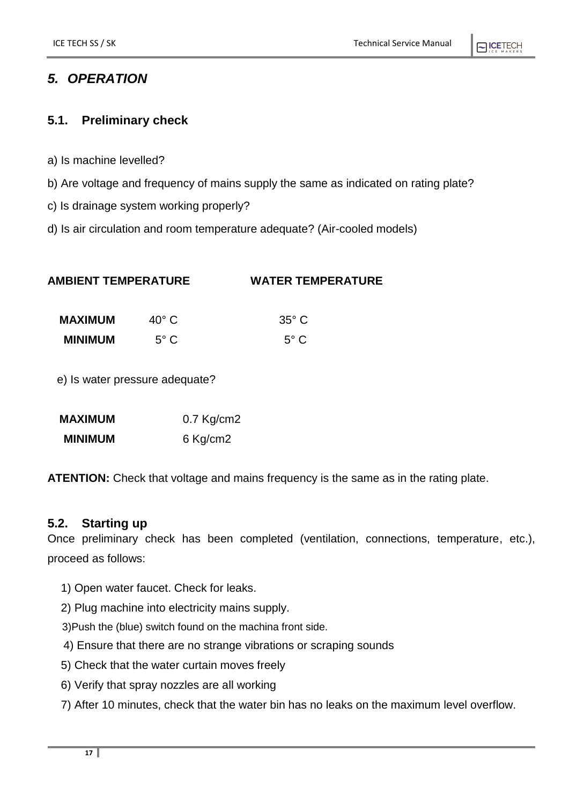### PICETECH

### <span id="page-16-0"></span>*5. OPERATION*

#### <span id="page-16-1"></span>**5.1. Preliminary check**

- a) Is machine levelled?
- b) Are voltage and frequency of mains supply the same as indicated on rating plate?
- c) Is drainage system working properly?
- d) Is air circulation and room temperature adequate? (Air-cooled models)

| <b>AMBIENT TEMPERATURE</b> | <b>WATER TEMPERATURE</b> |
|----------------------------|--------------------------|
|                            |                          |

| MAXIMUM        | $40^{\circ}$ C | $35^{\circ}$ C |
|----------------|----------------|----------------|
| <b>MINIMUM</b> | $5^{\circ}$ C  | $5^{\circ}$ C  |

e) Is water pressure adequate?

| <b>MAXIMUM</b> | $0.7$ Kg/cm2 |
|----------------|--------------|
| <b>MINIMUM</b> | 6 Kg/cm2     |

**ATENTION:** Check that voltage and mains frequency is the same as in the rating plate.

#### <span id="page-16-2"></span>**5.2. Starting up**

Once preliminary check has been completed (ventilation, connections, temperature, etc.), proceed as follows:

- 1) Open water faucet. Check for leaks.
- 2) Plug machine into electricity mains supply.
- 3)Push the (blue) switch found on the machina front side.
- 4) Ensure that there are no strange vibrations or scraping sounds
- 5) Check that the water curtain moves freely
- 6) Verify that spray nozzles are all working
- 7) After 10 minutes, check that the water bin has no leaks on the maximum level overflow.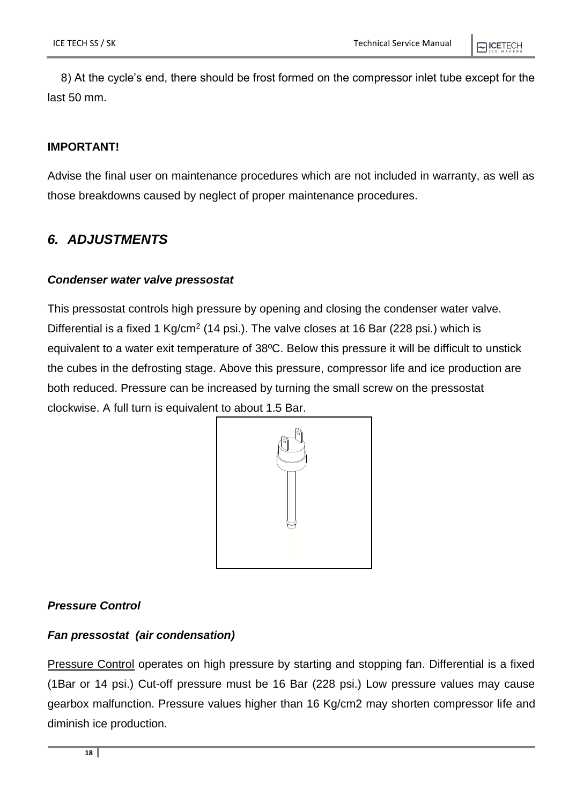8) At the cycle's end, there should be frost formed on the compressor inlet tube except for the last 50 mm.

#### **IMPORTANT!**

Advise the final user on maintenance procedures which are not included in warranty, as well as those breakdowns caused by neglect of proper maintenance procedures.

#### <span id="page-17-0"></span>*6. ADJUSTMENTS*

#### *Condenser water valve pressostat*

This pressostat controls high pressure by opening and closing the condenser water valve. Differential is a fixed 1 Kg/cm<sup>2</sup> (14 psi.). The valve closes at 16 Bar (228 psi.) which is equivalent to a water exit temperature of 38ºC. Below this pressure it will be difficult to unstick the cubes in the defrosting stage. Above this pressure, compressor life and ice production are both reduced. Pressure can be increased by turning the small screw on the pressostat clockwise. A full turn is equivalent to about 1.5 Bar.



#### *Pressure Control*

#### *Fan pressostat (air condensation)*

Pressure Control operates on high pressure by starting and stopping fan. Differential is a fixed (1Bar or 14 psi.) Cut-off pressure must be 16 Bar (228 psi.) Low pressure values may cause gearbox malfunction. Pressure values higher than 16 Kg/cm2 may shorten compressor life and diminish ice production.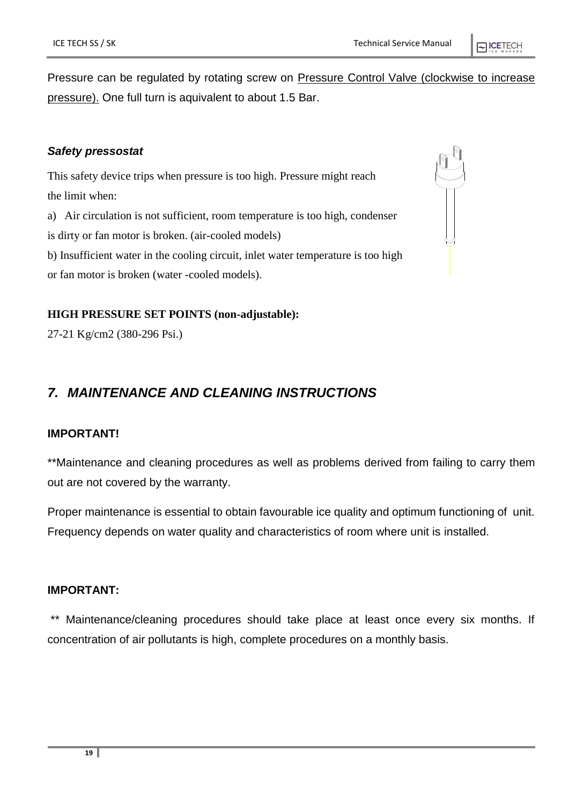Pressure can be regulated by rotating screw on Pressure Control Valve (clockwise to increase pressure). One full turn is aquivalent to about 1.5 Bar.

#### *Safety pressostat*

This safety device trips when pressure is too high. Pressure might reach the limit when: a) Air circulation is not sufficient, room temperature is too high, condenser is dirty or fan motor is broken. (air-cooled models) b) Insufficient water in the cooling circuit, inlet water temperature is too high or fan motor is broken (water -cooled models).

#### **HIGH PRESSURE SET POINTS (non-adjustable):**

27-21 Kg/cm2 (380-296 Psi.)

# <span id="page-18-0"></span>*7. MAINTENANCE AND CLEANING INSTRUCTIONS*

#### **IMPORTANT!**

\*\*Maintenance and cleaning procedures as well as problems derived from failing to carry them out are not covered by the warranty.

Proper maintenance is essential to obtain favourable ice quality and optimum functioning of unit. Frequency depends on water quality and characteristics of room where unit is installed.

#### **IMPORTANT:**

\*\* Maintenance/cleaning procedures should take place at least once every six months. If concentration of air pollutants is high, complete procedures on a monthly basis.

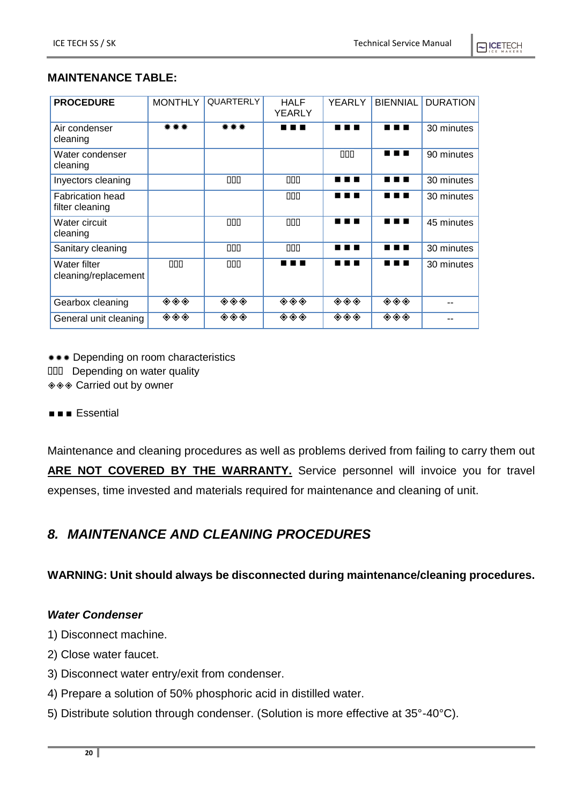#### **MAINTENANCE TABLE:**

| <b>PROCEDURE</b>                           | <b>MONTHLY</b>                                              | QUARTERLY                                                   | <b>HALF</b><br><b>YEARLY</b> | <b>YEARLY</b>                                               | <b>BIENNIAL</b>                                                               | <b>DURATION</b> |
|--------------------------------------------|-------------------------------------------------------------|-------------------------------------------------------------|------------------------------|-------------------------------------------------------------|-------------------------------------------------------------------------------|-----------------|
| Air condenser<br>cleaning                  | ***                                                         | ***                                                         | . .                          | ╻╻                                                          | . .                                                                           | 30 minutes      |
| Water condenser<br>cleaning                |                                                             |                                                             |                              | 000                                                         | .                                                                             | 90 minutes      |
| Inyectors cleaning                         |                                                             | 000                                                         | 000                          | .                                                           | .                                                                             | 30 minutes      |
| <b>Fabrication head</b><br>filter cleaning |                                                             |                                                             | 000                          | .                                                           | .                                                                             | 30 minutes      |
| Water circuit<br>cleaning                  |                                                             | 000                                                         | 000                          |                                                             | .                                                                             | 45 minutes      |
| Sanitary cleaning                          |                                                             | 000                                                         | 000                          | .                                                           | .                                                                             | 30 minutes      |
| Water filter<br>cleaning/replacement       | 000                                                         | 000                                                         | . .                          | . .<br>. .                                                  | .                                                                             | 30 minutes      |
| Gearbox cleaning                           | $\overline{\diamond\diamond\diamond}$                       | $\textcolor{blue}{\blacklozenge\blacklozenge\blacklozenge}$ | ◈◈◈                          | $\textcolor{blue}{\blacklozenge\blacklozenge\blacklozenge}$ | $\color{blue}\blacklozenge\color{blue}\blacklozenge\color{blue}\blacklozenge$ |                 |
| General unit cleaning                      | $\textcolor{blue}{\blacklozenge\blacklozenge\blacklozenge}$ | ◈◈◈                                                         | ◈◈◈                          | $\textcolor{blue}{\blacklozenge\blacklozenge\blacklozenge}$ | $\color{blue}\blacklozenge\color{blue}\blacklozenge\color{blue}\blacklozenge$ |                 |

**\*\*\*** Depending on room characteristics

DDD Depending on water quality

◈ ® Carried out by owner

**Essential** 

Maintenance and cleaning procedures as well as problems derived from failing to carry them out ARE NOT COVERED BY THE WARRANTY. Service personnel will invoice you for travel expenses, time invested and materials required for maintenance and cleaning of unit.

# <span id="page-19-0"></span>*8. MAINTENANCE AND CLEANING PROCEDURES*

**WARNING: Unit should always be disconnected during maintenance/cleaning procedures.**

#### *Water Condenser*

- 1) Disconnect machine.
- 2) Close water faucet.
- 3) Disconnect water entry/exit from condenser.
- 4) Prepare a solution of 50% phosphoric acid in distilled water.
- 5) Distribute solution through condenser. (Solution is more effective at 35°-40°C).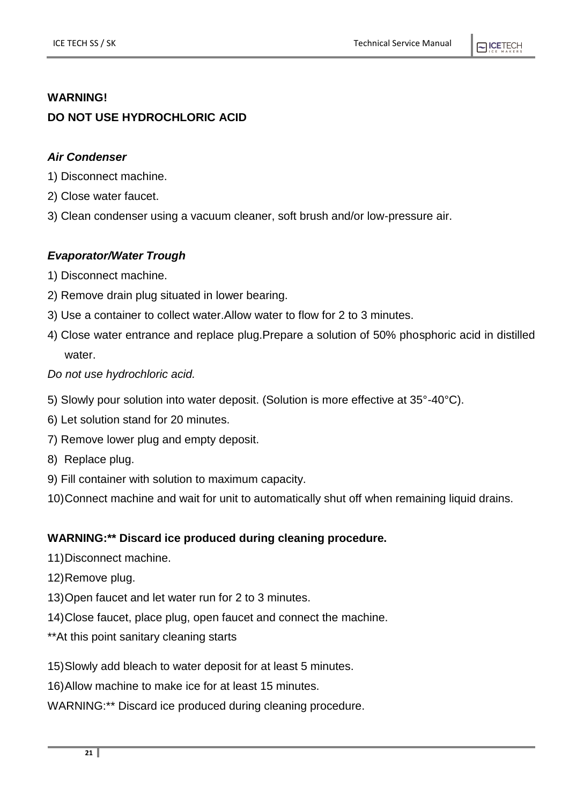#### **WARNING!**

#### **DO NOT USE HYDROCHLORIC ACID**

#### *Air Condenser*

1) Disconnect machine.

- 2) Close water faucet.
- 3) Clean condenser using a vacuum cleaner, soft brush and/or low-pressure air.

#### *Evaporator/Water Trough*

- 1) Disconnect machine.
- 2) Remove drain plug situated in lower bearing.
- 3) Use a container to collect water.Allow water to flow for 2 to 3 minutes.
- 4) Close water entrance and replace plug.Prepare a solution of 50% phosphoric acid in distilled water.

#### *Do not use hydrochloric acid.*

- 5) Slowly pour solution into water deposit. (Solution is more effective at 35°-40°C).
- 6) Let solution stand for 20 minutes.
- 7) Remove lower plug and empty deposit.
- 8) Replace plug.
- 9) Fill container with solution to maximum capacity.
- 10)Connect machine and wait for unit to automatically shut off when remaining liquid drains.

#### **WARNING:\*\* Discard ice produced during cleaning procedure.**

- 11)Disconnect machine.
- 12)Remove plug.
- 13)Open faucet and let water run for 2 to 3 minutes.
- 14)Close faucet, place plug, open faucet and connect the machine.
- \*\*At this point sanitary cleaning starts
- 15)Slowly add bleach to water deposit for at least 5 minutes.
- 16)Allow machine to make ice for at least 15 minutes.
- WARNING:\*\* Discard ice produced during cleaning procedure.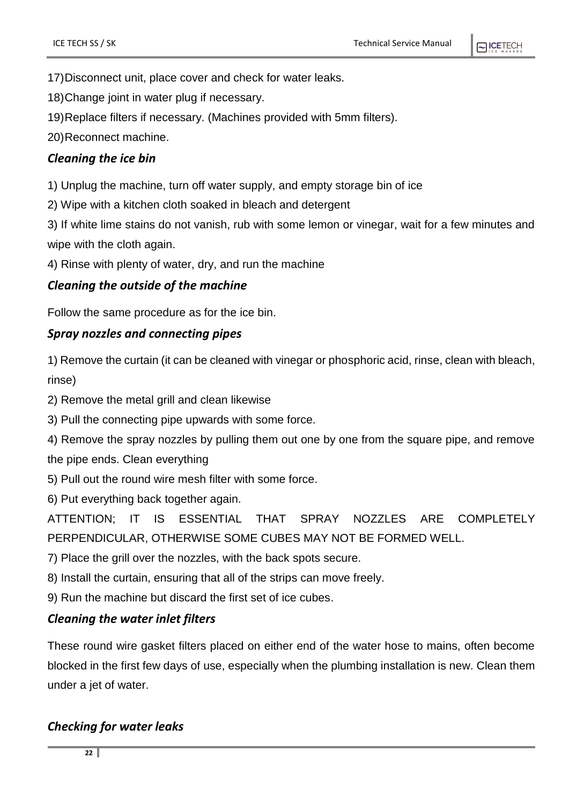17)Disconnect unit, place cover and check for water leaks.

18)Change joint in water plug if necessary.

19)Replace filters if necessary. (Machines provided with 5mm filters).

20)Reconnect machine.

#### *Cleaning the ice bin*

1) Unplug the machine, turn off water supply, and empty storage bin of ice

2) Wipe with a kitchen cloth soaked in bleach and detergent

3) If white lime stains do not vanish, rub with some lemon or vinegar, wait for a few minutes and wipe with the cloth again.

4) Rinse with plenty of water, dry, and run the machine

#### *Cleaning the outside of the machine*

Follow the same procedure as for the ice bin.

#### *Spray nozzles and connecting pipes*

1) Remove the curtain (it can be cleaned with vinegar or phosphoric acid, rinse, clean with bleach, rinse)

2) Remove the metal grill and clean likewise

3) Pull the connecting pipe upwards with some force.

4) Remove the spray nozzles by pulling them out one by one from the square pipe, and remove the pipe ends. Clean everything

5) Pull out the round wire mesh filter with some force.

6) Put everything back together again.

ATTENTION; IT IS ESSENTIAL THAT SPRAY NOZZLES ARE COMPLETELY PERPENDICULAR, OTHERWISE SOME CUBES MAY NOT BE FORMED WELL.

7) Place the grill over the nozzles, with the back spots secure.

8) Install the curtain, ensuring that all of the strips can move freely.

9) Run the machine but discard the first set of ice cubes.

#### *Cleaning the water inlet filters*

These round wire gasket filters placed on either end of the water hose to mains, often become blocked in the first few days of use, especially when the plumbing installation is new. Clean them under a jet of water.

#### *Checking for water leaks*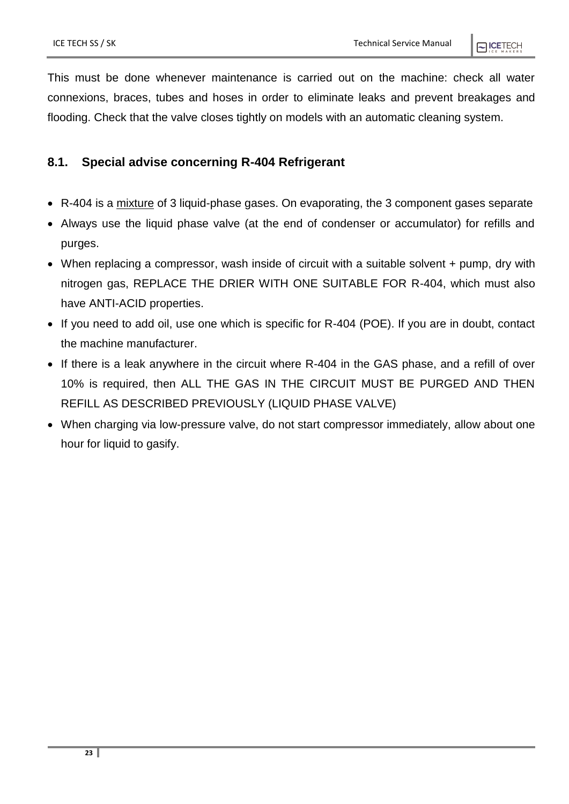This must be done whenever maintenance is carried out on the machine: check all water connexions, braces, tubes and hoses in order to eliminate leaks and prevent breakages and flooding. Check that the valve closes tightly on models with an automatic cleaning system.

#### <span id="page-22-0"></span>**8.1. Special advise concerning R-404 Refrigerant**

- R-404 is a mixture of 3 liquid-phase gases. On evaporating, the 3 component gases separate
- Always use the liquid phase valve (at the end of condenser or accumulator) for refills and purges.
- When replacing a compressor, wash inside of circuit with a suitable solvent + pump, dry with nitrogen gas, REPLACE THE DRIER WITH ONE SUITABLE FOR R-404, which must also have ANTI-ACID properties.
- If you need to add oil, use one which is specific for R-404 (POE). If you are in doubt, contact the machine manufacturer.
- If there is a leak anywhere in the circuit where R-404 in the GAS phase, and a refill of over 10% is required, then ALL THE GAS IN THE CIRCUIT MUST BE PURGED AND THEN REFILL AS DESCRIBED PREVIOUSLY (LIQUID PHASE VALVE)
- When charging via low-pressure valve, do not start compressor immediately, allow about one hour for liquid to gasify.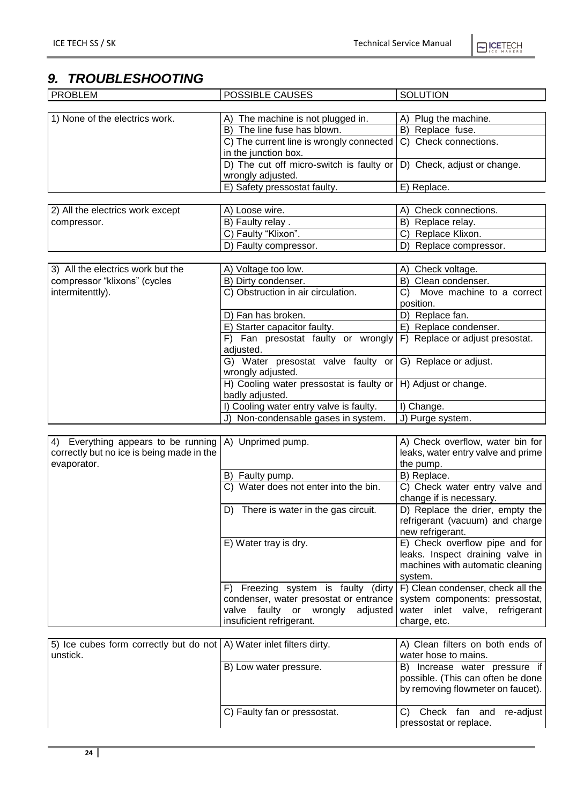$\bigcap$  ICETECH

# <span id="page-23-0"></span>*9. TROUBLESHOOTING*

| <b>PROBLEM</b>                    | POSSIBLE CAUSES                          | <b>SOLUTION</b>                 |
|-----------------------------------|------------------------------------------|---------------------------------|
|                                   |                                          |                                 |
| 1) None of the electrics work.    | The machine is not plugged in.<br>A)     | A) Plug the machine.            |
|                                   | B) The line fuse has blown.              | B) Replace fuse.                |
|                                   | C) The current line is wrongly connected | C) Check connections.           |
|                                   | in the junction box.                     |                                 |
|                                   | D) The cut off micro-switch is faulty or | D) Check, adjust or change.     |
|                                   | wrongly adjusted.                        |                                 |
|                                   | E) Safety pressostat faulty.             | E) Replace.                     |
|                                   |                                          |                                 |
| 2) All the electrics work except  | A) Loose wire.                           | Check connections.<br>A)        |
| compressor.                       | B) Faulty relay.                         | Replace relay.<br>B)            |
|                                   | C) Faulty "Klixon".                      | Replace Klixon.                 |
|                                   | D) Faulty compressor.                    | Replace compressor.<br>D'       |
|                                   |                                          |                                 |
| 3) All the electrics work but the | A) Voltage too low.                      | A) Check voltage.               |
| compressor "klixons" (cycles      | B) Dirty condenser.                      | Clean condenser.<br>B)          |
| intermitenttly).                  | C) Obstruction in air circulation.       | Move machine to a correct<br>C) |
|                                   |                                          | position.                       |
|                                   | D) Fan has broken.                       | Replace fan.                    |
|                                   | E) Starter capacitor faulty.             | E) Replace condenser.           |
|                                   | F) Fan presostat faulty or wrongly       | F) Replace or adjust presostat. |
|                                   | adjusted.                                |                                 |
|                                   | G) Water presostat valve faulty or       | G) Replace or adjust.           |
|                                   | wrongly adjusted.                        |                                 |
|                                   | H) Cooling water pressostat is faulty or | H) Adjust or change.            |
|                                   | badly adjusted.                          |                                 |
|                                   | Cooling water entry valve is faulty.     | I) Change.                      |
|                                   | J) Non-condensable gases in system.      | J) Purge system.                |

| 4) Everything appears to be running $(A)$ Unprimed pump. |                                           | A) Check overflow, water bin for     |
|----------------------------------------------------------|-------------------------------------------|--------------------------------------|
| correctly but no ice is being made in the                |                                           | leaks, water entry valve and prime   |
| evaporator.                                              |                                           | the pump.                            |
|                                                          | B)<br>Faulty pump.                        | B) Replace.                          |
|                                                          | C) Water does not enter into the bin.     | C) Check water entry valve and       |
|                                                          |                                           | change if is necessary.              |
|                                                          | There is water in the gas circuit.<br>D)  | D) Replace the drier, empty the      |
|                                                          |                                           | refrigerant (vacuum) and charge      |
|                                                          |                                           | new refrigerant.                     |
|                                                          | E) Water tray is dry.                     | E) Check overflow pipe and for       |
|                                                          |                                           | leaks. Inspect draining valve in     |
|                                                          |                                           | machines with automatic cleaning     |
|                                                          |                                           | system.                              |
|                                                          | F) Freezing system is faulty (dirty       | F) Clean condenser, check all the    |
|                                                          | condenser, water presostat or entrance    | system components: pressostat,       |
|                                                          | adjusted<br>faulty or<br>wrongly<br>valve | inlet valve,<br>refrigerant<br>water |
|                                                          | insuficient refrigerant.                  | charge, etc.                         |

| 5) Ice cubes form correctly but do not $ A\rangle$ Water inlet filters dirty.<br>unstick. |                              | A) Clean filters on both ends of<br>water hose to mains.                                                    |
|-------------------------------------------------------------------------------------------|------------------------------|-------------------------------------------------------------------------------------------------------------|
|                                                                                           | B) Low water pressure.       | Increase water pressure if<br>B)<br>possible. (This can often be done)<br>by removing flowmeter on faucet). |
|                                                                                           | C) Faulty fan or pressostat. | Check fan and re-adjust<br>C)<br>pressostat or replace.                                                     |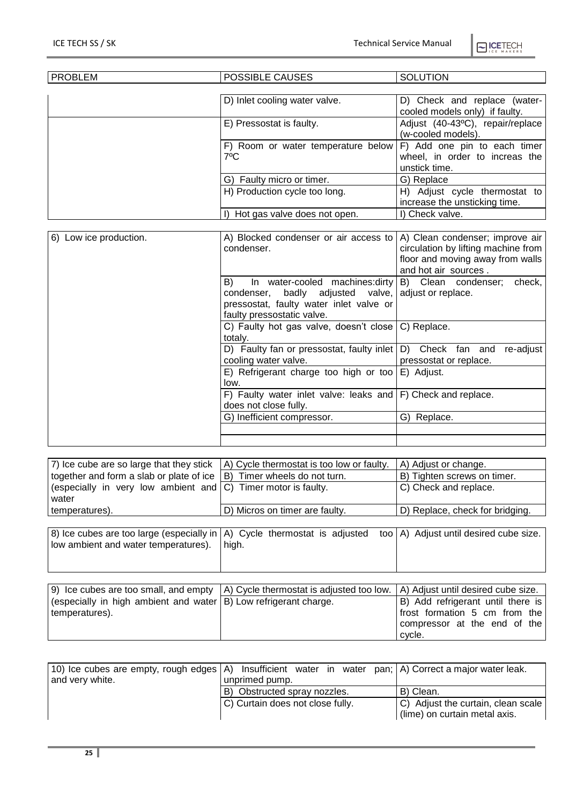$\bigcap$  ICETECH

| <b>PROBLEM</b> | POSSIBLE CAUSES                                     | <b>SOLUTION</b>                                                                 |
|----------------|-----------------------------------------------------|---------------------------------------------------------------------------------|
|                |                                                     |                                                                                 |
|                | D) Inlet cooling water valve.                       | D) Check and replace (water-<br>cooled models only) if faulty.                  |
|                | E) Pressostat is faulty.                            | Adjust (40-43°C), repair/replace<br>(w-cooled models).                          |
|                | F) Room or water temperature below<br>$7^{\circ}$ C | F) Add one pin to each timer<br>wheel, in order to increas the<br>unstick time. |
|                | G) Faulty micro or timer.                           | G) Replace                                                                      |
|                | H) Production cycle too long.                       | H) Adjust cycle thermostat to<br>increase the unsticking time.                  |
|                | Hot gas valve does not open.                        | I) Check valve.                                                                 |

|                                                                 | A) Clean condenser; improve air                                                                                                                         |
|-----------------------------------------------------------------|---------------------------------------------------------------------------------------------------------------------------------------------------------|
| condenser.                                                      | circulation by lifting machine from                                                                                                                     |
|                                                                 | floor and moving away from walls                                                                                                                        |
|                                                                 | and hot air sources.                                                                                                                                    |
|                                                                 | B) Clean condenser;<br>check,                                                                                                                           |
|                                                                 |                                                                                                                                                         |
|                                                                 | adjust or replace.                                                                                                                                      |
|                                                                 |                                                                                                                                                         |
| faulty pressostatic valve.                                      |                                                                                                                                                         |
| C) Faulty hot gas valve, doesn't close                          | C) Replace.                                                                                                                                             |
| totaly.                                                         |                                                                                                                                                         |
| D) Faulty fan or pressostat, faulty inlet                       | D) Check fan and<br>re-adjust                                                                                                                           |
| cooling water valve.                                            | pressostat or replace.                                                                                                                                  |
| E) Refrigerant charge too high or too                           | E) Adjust.                                                                                                                                              |
| low.                                                            |                                                                                                                                                         |
| F) Faulty water inlet valve: leaks and $ F $ Check and replace. |                                                                                                                                                         |
| does not close fully.                                           |                                                                                                                                                         |
| G) Inefficient compressor.                                      | G) Replace.                                                                                                                                             |
|                                                                 |                                                                                                                                                         |
|                                                                 |                                                                                                                                                         |
| B)                                                              | A) Blocked condenser or air access to<br>In water-cooled machines: dirty<br>condenser, badly adjusted valve,<br>pressostat, faulty water inlet valve or |

| 7) Ice cube are so large that they stick                                 | A) Cycle thermostat is too low or faulty.                                                                          | A) Adjust or change.            |
|--------------------------------------------------------------------------|--------------------------------------------------------------------------------------------------------------------|---------------------------------|
| together and form a slab or plate of ice $ B $ Timer wheels do not turn. |                                                                                                                    | B) Tighten screws on timer.     |
| (especially in very low ambient and $ C $ ) Timer motor is faulty.       |                                                                                                                    | C) Check and replace.           |
| water                                                                    |                                                                                                                    |                                 |
| temperatures).                                                           | D) Micros on timer are faulty.                                                                                     | D) Replace, check for bridging. |
|                                                                          |                                                                                                                    |                                 |
| low ambient and water temperatures). high.                               | 8) Ice cubes are too large (especially in  A) Cycle thermostat is adjusted too  A) Adjust until desired cube size. |                                 |

|                                                                       | 9) Ice cubes are too small, and empty   A) Cycle thermostat is adjusted too low.   A) Adjust until desired cube size. |                                   |
|-----------------------------------------------------------------------|-----------------------------------------------------------------------------------------------------------------------|-----------------------------------|
| (especially in high ambient and water $ B $ ) Low refrigerant charge. |                                                                                                                       | B) Add refrigerant until there is |
| temperatures).                                                        |                                                                                                                       | frost formation 5 cm from the     |
|                                                                       |                                                                                                                       | compressor at the end of the      |
|                                                                       |                                                                                                                       | cycle.                            |

| and very white. | 10) Ice cubes are empty, rough edges $(A)$ Insufficient water in water pan; A Correct a major water leak.<br>unprimed pump. |                                    |
|-----------------|-----------------------------------------------------------------------------------------------------------------------------|------------------------------------|
|                 | B) Obstructed spray nozzles.                                                                                                | B) Clean.                          |
|                 | C) Curtain does not close fully.                                                                                            | C) Adjust the curtain, clean scale |
|                 |                                                                                                                             | (lime) on curtain metal axis.      |